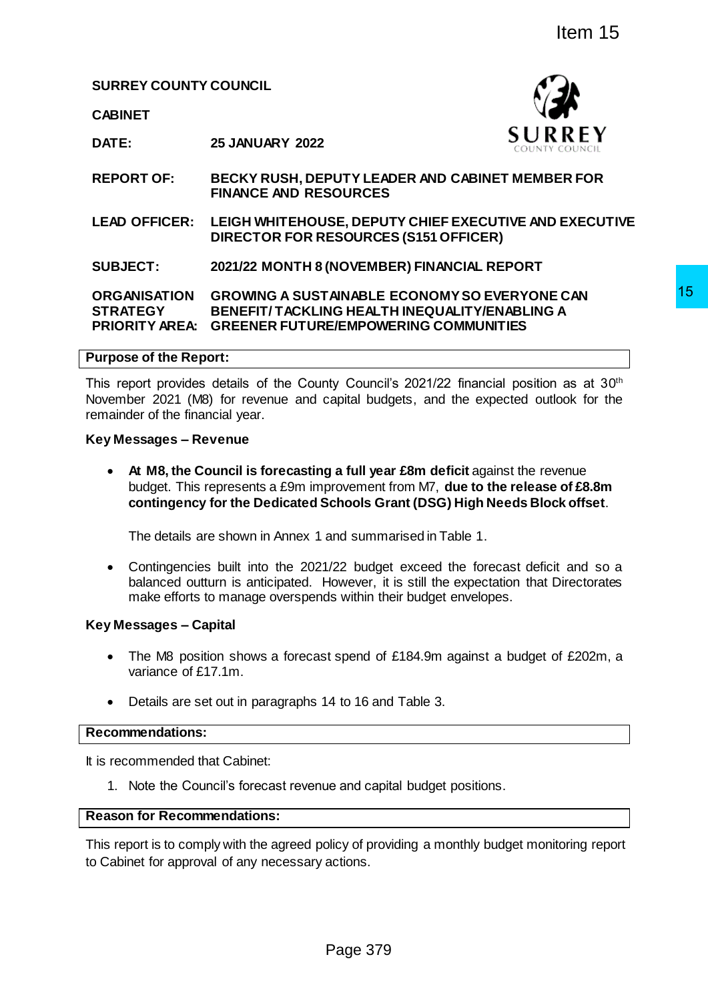**SURREY COUNTY COUNCIL**

**CABINET**



**DATE: 25 JANUARY 2022**

**REPORT OF: BECKY RUSH, DEPUTY LEADER AND CABINET MEMBER FOR FINANCE AND RESOURCES**

**LEAD OFFICER: LEIGH WHITEHOUSE, DEPUTY CHIEF EXECUTIVE AND EXECUTIVE DIRECTOR FOR RESOURCES (S151 OFFICER)**

**SUBJECT: 2021/22 MONTH 8 (NOVEMBER) FINANCIAL REPORT**

**ORGANISATION GROWING A SUSTAINABLE ECONOMY SO EVERYONE CAN STRATEGY PRIORITY AREA: GREENER FUTURE/EMPOWERING COMMUNITIES BENEFIT/ TACKLING HEALTH INEQUALITY/ENABLING A** 

#### **Purpose of the Report:**

This report provides details of the County Council's 2021/22 financial position as at 30<sup>th</sup> November 2021 (M8) for revenue and capital budgets, and the expected outlook for the remainder of the financial year. The Magnetian State of State State State State State State State State State State State State State State State State State State State State State State State State State State State State State State State State State S

#### **Key Messages – Revenue**

 **At M8, the Council is forecasting a full year £8m deficit** against the revenue budget. This represents a £9m improvement from M7, **due to the release of £8.8m contingency for the Dedicated Schools Grant (DSG) High Needs Block offset**.

The details are shown in Annex 1 and summarised in Table 1.

 Contingencies built into the 2021/22 budget exceed the forecast deficit and so a balanced outturn is anticipated. However, it is still the expectation that Directorates make efforts to manage overspends within their budget envelopes.

## **Key Messages – Capital**

- The M8 position shows a forecast spend of £184.9m against a budget of £202m, a variance of £17.1m.
- Details are set out in paragraphs 14 to 16 and Table 3.

#### **Recommendations:**

It is recommended that Cabinet:

1. Note the Council's forecast revenue and capital budget positions.

## **Reason for Recommendations:**

This report is to comply with the agreed policy of providing a monthly budget monitoring report to Cabinet for approval of any necessary actions.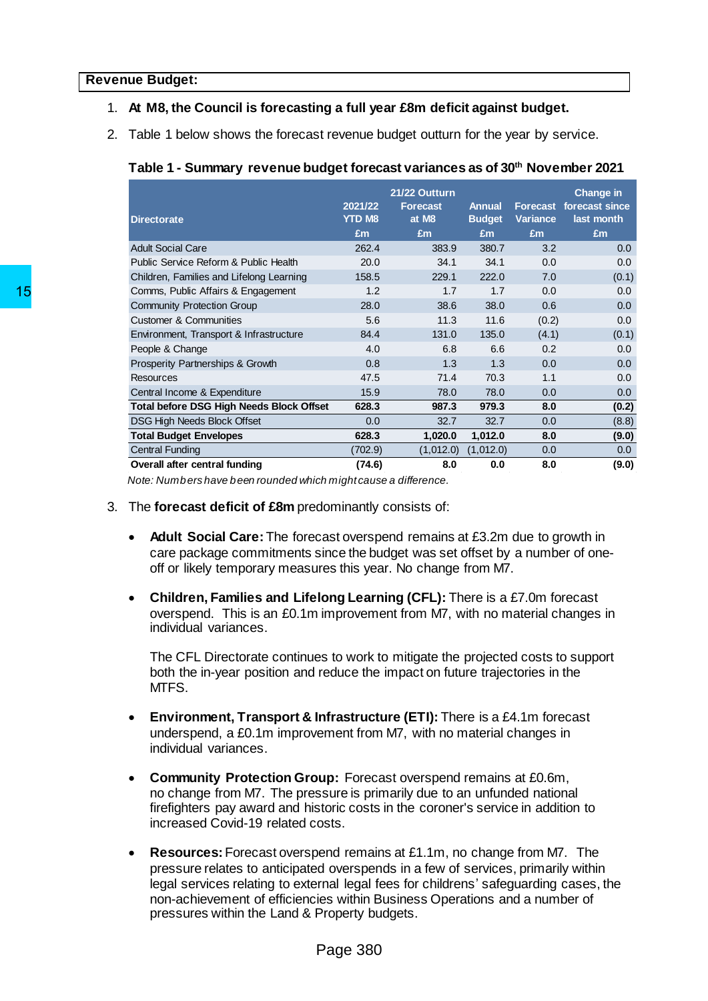## 1. **At M8, the Council is forecasting a full year £8m deficit against budget.**

2. Table 1 below shows the forecast revenue budget outturn for the year by service.

# **Table 1 - Summary revenue budget forecast variances as of 30 th November 2021**

| <b>Directorate</b>                                                                                                                                                                                                                                                                                                                                                                                                                                         | 2021/22<br><b>YTD M8</b><br>£m | 21/22 Outturn<br><b>Forecast</b><br>at M8<br>£m | <b>Annual</b><br><b>Budget</b><br>£m | Variance<br>£m | <b>Change in</b><br><b>Forecast forecast since</b><br>last month<br>£m |
|------------------------------------------------------------------------------------------------------------------------------------------------------------------------------------------------------------------------------------------------------------------------------------------------------------------------------------------------------------------------------------------------------------------------------------------------------------|--------------------------------|-------------------------------------------------|--------------------------------------|----------------|------------------------------------------------------------------------|
| <b>Adult Social Care</b>                                                                                                                                                                                                                                                                                                                                                                                                                                   | 262.4                          | 383.9                                           | 380.7                                | 3.2            | 0.0                                                                    |
| Public Service Reform & Public Health                                                                                                                                                                                                                                                                                                                                                                                                                      | 20.0                           | 34.1                                            | 34.1                                 | 0.0            | 0.0                                                                    |
|                                                                                                                                                                                                                                                                                                                                                                                                                                                            | 158.5                          | 229.1                                           | 222.0                                | 7.0            |                                                                        |
| Children, Families and Lifelong Learning                                                                                                                                                                                                                                                                                                                                                                                                                   | 1.2                            |                                                 | 1.7                                  |                | (0.1)<br>0.0                                                           |
| Comms, Public Affairs & Engagement                                                                                                                                                                                                                                                                                                                                                                                                                         |                                | 1.7                                             |                                      | 0.0            |                                                                        |
| <b>Community Protection Group</b>                                                                                                                                                                                                                                                                                                                                                                                                                          | 28.0                           | 38.6                                            | 38.0                                 | 0.6            | 0.0                                                                    |
| <b>Customer &amp; Communities</b>                                                                                                                                                                                                                                                                                                                                                                                                                          | 5.6                            | 11.3                                            | 11.6                                 | (0.2)          | 0.0                                                                    |
| Environment, Transport & Infrastructure                                                                                                                                                                                                                                                                                                                                                                                                                    | 84.4                           | 131.0                                           | 135.0                                | (4.1)          | (0.1)                                                                  |
| People & Change                                                                                                                                                                                                                                                                                                                                                                                                                                            | 4.0                            | 6.8                                             | 6.6                                  | 0.2            | 0.0                                                                    |
| Prosperity Partnerships & Growth                                                                                                                                                                                                                                                                                                                                                                                                                           | 0.8                            | 1.3                                             | 1.3                                  | 0.0            | 0.0                                                                    |
| <b>Resources</b>                                                                                                                                                                                                                                                                                                                                                                                                                                           | 47.5                           | 71.4                                            | 70.3                                 | 1.1            | 0.0                                                                    |
| Central Income & Expenditure                                                                                                                                                                                                                                                                                                                                                                                                                               | 15.9                           | 78.0                                            | 78.0                                 | 0.0            | 0.0                                                                    |
| <b>Total before DSG High Needs Block Offset</b>                                                                                                                                                                                                                                                                                                                                                                                                            | 628.3                          | 987.3                                           | 979.3                                | 8.0            | (0.2)                                                                  |
| DSG High Needs Block Offset                                                                                                                                                                                                                                                                                                                                                                                                                                | 0.0                            | 32.7                                            | 32.7                                 | 0.0            | (8.8)                                                                  |
| <b>Total Budget Envelopes</b>                                                                                                                                                                                                                                                                                                                                                                                                                              | 628.3                          | 1,020.0                                         | 1,012.0                              | 8.0            | (9.0)                                                                  |
| <b>Central Funding</b>                                                                                                                                                                                                                                                                                                                                                                                                                                     | (702.9)                        | (1,012.0)                                       | (1,012.0)                            | 0.0            | 0.0                                                                    |
| Overall after central funding                                                                                                                                                                                                                                                                                                                                                                                                                              | (74.6)                         | 8.0                                             | 0.0                                  | 8.0            | (9.0)                                                                  |
| Children, Families and Lifelong Learning (CFL): There is a £7.0m forecast<br>overspend. This is an £0.1m improvement from M7, with no material changes in<br>individual variances.<br>The CFL Directorate continues to work to mitigate the projected costs to support<br>both the in-year position and reduce the impact on future trajectories in the<br>MTFS.                                                                                           |                                |                                                 |                                      |                |                                                                        |
| Environment, Transport & Infrastructure (ETI): There is a £4.1m forecast<br>underspend, a £0.1m improvement from M7, with no material changes in<br>individual variances.<br><b>Community Protection Group:</b> Forecast overspend remains at £0.6m,<br>no change from M7. The pressure is primarily due to an unfunded national<br>firefighters pay award and historic costs in the coroner's service in addition to<br>increased Covid-19 related costs. |                                |                                                 |                                      |                |                                                                        |
| <b>Resources:</b> Forecast overspend remains at £1.1m, no change from M7. The<br>pressure relates to anticipated overspends in a few of services, primarily within<br>legal services relating to external legal fees for childrens' safeguarding cases, the<br>non-achievement of efficiencies within Business Operations and a number of<br>pressures within the Land & Property budgets.                                                                 |                                |                                                 |                                      |                |                                                                        |
|                                                                                                                                                                                                                                                                                                                                                                                                                                                            | Page 380                       |                                                 |                                      |                |                                                                        |

- 3. The **forecast deficit of £8m** predominantly consists of:
	- **Adult Social Care:**The forecast overspend remains at £3.2m due to growth in care package commitments since the budget was set offset by a number of oneoff or likely temporary measures this year. No change from M7.
	- **Children, Families and Lifelong Learning (CFL):** There is a £7.0m forecast overspend. This is an £0.1m improvement from M7, with no material changes in individual variances.

- **Environment, Transport & Infrastructure (ETI):** There is a £4.1m forecast underspend, a £0.1m improvement from M7, with no material changes in individual variances.
- **Community Protection Group:** Forecast overspend remains at £0.6m, no change from M7. The pressure is primarily due to an unfunded national firefighters pay award and historic costs in the coroner's service in addition to increased Covid-19 related costs.
- **Resources:** Forecast overspend remains at £1.1m, no change from M7. The pressure relates to anticipated overspends in a few of services, primarily within legal services relating to external legal fees for childrens' safeguarding cases, the non-achievement of efficiencies within Business Operations and a number of pressures within the Land & Property budgets.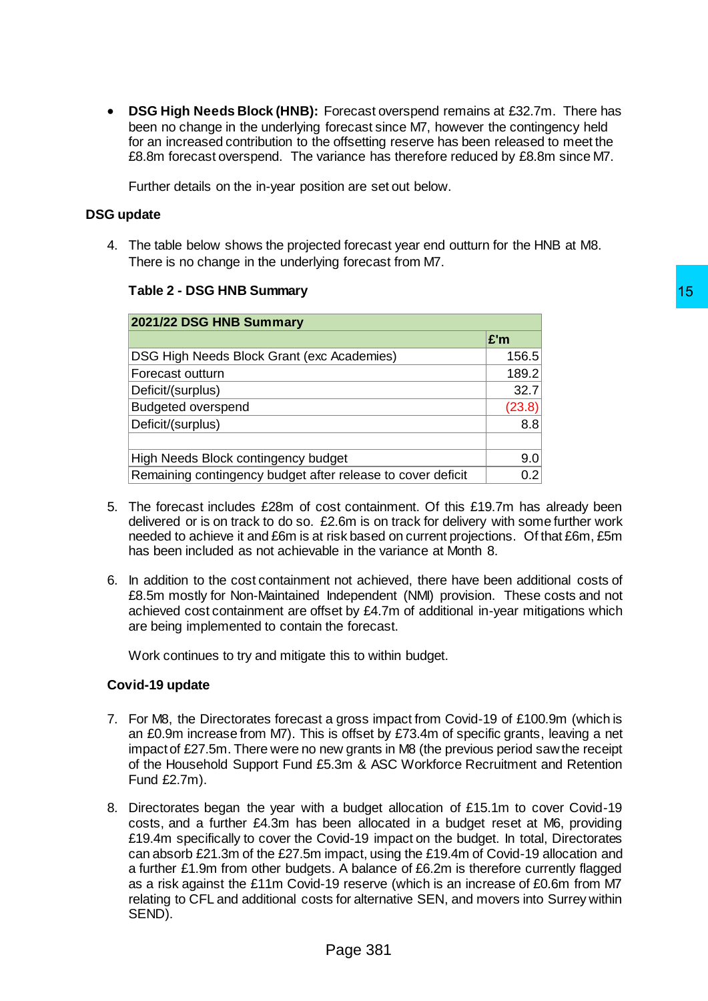**DSG High Needs Block (HNB):** Forecast overspend remains at £32.7m. There has been no change in the underlying forecast since M7, however the contingency held for an increased contribution to the offsetting reserve has been released to meet the £8.8m forecast overspend. The variance has therefore reduced by £8.8m since M7.

Further details on the in-year position are set out below.

## **DSG update**

4. The table below shows the projected forecast year end outturn for the HNB at M8. There is no change in the underlying forecast from M7.

|  |  |  |  | Table 2 - DSG HNB Summary |
|--|--|--|--|---------------------------|
|--|--|--|--|---------------------------|

| 2021/22 DSG HNB Summary                                                                                                                                                                                                                                                                                                                                                                                                                                                                                                                                                                                                                   |            |  |
|-------------------------------------------------------------------------------------------------------------------------------------------------------------------------------------------------------------------------------------------------------------------------------------------------------------------------------------------------------------------------------------------------------------------------------------------------------------------------------------------------------------------------------------------------------------------------------------------------------------------------------------------|------------|--|
|                                                                                                                                                                                                                                                                                                                                                                                                                                                                                                                                                                                                                                           | £'m        |  |
| DSG High Needs Block Grant (exc Academies)                                                                                                                                                                                                                                                                                                                                                                                                                                                                                                                                                                                                | 156.5      |  |
| Forecast outturn                                                                                                                                                                                                                                                                                                                                                                                                                                                                                                                                                                                                                          | 189.2      |  |
| Deficit/(surplus)                                                                                                                                                                                                                                                                                                                                                                                                                                                                                                                                                                                                                         | 32.7       |  |
| <b>Budgeted overspend</b>                                                                                                                                                                                                                                                                                                                                                                                                                                                                                                                                                                                                                 | (23.8)     |  |
| Deficit/(surplus)                                                                                                                                                                                                                                                                                                                                                                                                                                                                                                                                                                                                                         | 8.8        |  |
| High Needs Block contingency budget                                                                                                                                                                                                                                                                                                                                                                                                                                                                                                                                                                                                       |            |  |
| Remaining contingency budget after release to cover deficit                                                                                                                                                                                                                                                                                                                                                                                                                                                                                                                                                                               | 9.0<br>0.2 |  |
|                                                                                                                                                                                                                                                                                                                                                                                                                                                                                                                                                                                                                                           |            |  |
| In addition to the cost containment not achieved, there have been additional costs of<br>£8.5m mostly for Non-Maintained Independent (NMI) provision. These costs and not<br>achieved cost containment are offset by £4.7m of additional in-year mitigations which<br>are being implemented to contain the forecast.<br>Work continues to try and mitigate this to within budget.                                                                                                                                                                                                                                                         |            |  |
|                                                                                                                                                                                                                                                                                                                                                                                                                                                                                                                                                                                                                                           |            |  |
| vid-19 update                                                                                                                                                                                                                                                                                                                                                                                                                                                                                                                                                                                                                             |            |  |
| For M8, the Directorates forecast a gross impact from Covid-19 of £100.9m (which is<br>an £0.9m increase from M7). This is offset by £73.4m of specific grants, leaving a net<br>impact of £27.5m. There were no new grants in M8 (the previous period saw the receipt<br>of the Household Support Fund £5.3m & ASC Workforce Recruitment and Retention<br>Fund £2.7m).                                                                                                                                                                                                                                                                   |            |  |
| Directorates began the year with a budget allocation of £15.1m to cover Covid-19<br>costs, and a further £4.3m has been allocated in a budget reset at M6, providing<br>£19.4m specifically to cover the Covid-19 impact on the budget. In total, Directorates<br>can absorb £21.3m of the £27.5m impact, using the £19.4m of Covid-19 allocation and<br>a further £1.9m from other budgets. A balance of £6.2m is therefore currently flagged<br>as a risk against the £11m Covid-19 reserve (which is an increase of £0.6m from M7<br>relating to CFL and additional costs for alternative SEN, and movers into Surrey within<br>SEND). |            |  |
| Page 381                                                                                                                                                                                                                                                                                                                                                                                                                                                                                                                                                                                                                                  |            |  |

- 5. The forecast includes £28m of cost containment. Of this £19.7m has already been delivered or is on track to do so. £2.6m is on track for delivery with some further work needed to achieve it and £6m is at risk based on current projections. Of that £6m, £5m has been included as not achievable in the variance at Month 8.
- 6. In addition to the cost containment not achieved, there have been additional costs of £8.5m mostly for Non-Maintained Independent (NMI) provision. These costs and not achieved cost containment are offset by £4.7m of additional in-year mitigations which are being implemented to contain the forecast.

## **Covid-19 update**

- 7. For M8, the Directorates forecast a gross impact from Covid-19 of £100.9m (which is an £0.9m increase from M7). This is offset by £73.4m of specific grants, leaving a net impact of £27.5m. There were no new grants in M8 (the previous period saw the receipt of the Household Support Fund £5.3m & ASC Workforce Recruitment and Retention Fund £2.7m).
- 8. Directorates began the year with a budget allocation of £15.1m to cover Covid-19 costs, and a further £4.3m has been allocated in a budget reset at M6, providing £19.4m specifically to cover the Covid-19 impact on the budget. In total, Directorates can absorb £21.3m of the £27.5m impact, using the £19.4m of Covid-19 allocation and a further £1.9m from other budgets. A balance of £6.2m is therefore currently flagged as a risk against the £11m Covid-19 reserve (which is an increase of £0.6m from M7 relating to CFL and additional costs for alternative SEN, and movers into Surrey within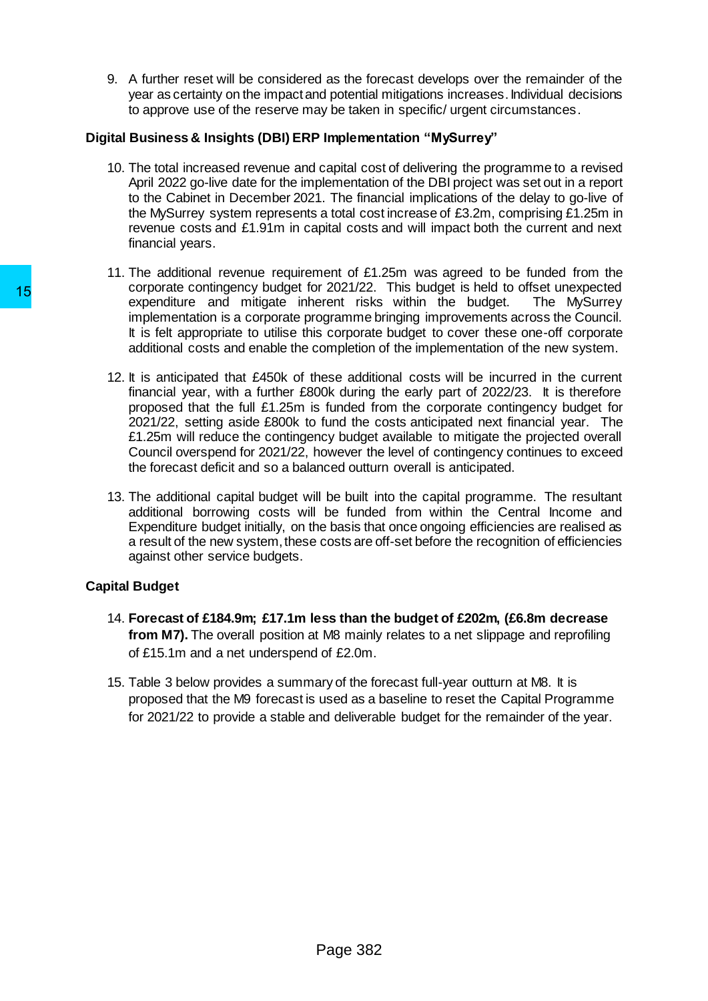9. A further reset will be considered as the forecast develops over the remainder of the year as certainty on the impact and potential mitigations increases. Individual decisions to approve use of the reserve may be taken in specific/ urgent circumstances.

# **Digital Business & Insights (DBI) ERP Implementation "MySurrey"**

- 10. The total increased revenue and capital cost of delivering the programme to a revised April 2022 go-live date for the implementation of the DBI project was set out in a report to the Cabinet in December 2021. The financial implications of the delay to go-live of the MySurrey system represents a total cost increase of £3.2m, comprising £1.25m in revenue costs and £1.91m in capital costs and will impact both the current and next financial years.
- 11. The additional revenue requirement of £1.25m was agreed to be funded from the corporate contingency budget for 2021/22. This budget is held to offset unexpected expenditure and mitigate inherent risks within the budget. The MySurrey implementation is a corporate programme bringing improvements across the Council. It is felt appropriate to utilise this corporate budget to cover these one-off corporate additional costs and enable the completion of the implementation of the new system.
- 12. It is anticipated that £450k of these additional costs will be incurred in the current financial year, with a further £800k during the early part of 2022/23. It is therefore proposed that the full £1.25m is funded from the corporate contingency budget for 2021/22, setting aside £800k to fund the costs anticipated next financial year. The £1.25m will reduce the contingency budget available to mitigate the projected overall Council overspend for 2021/22, however the level of contingency continues to exceed the forecast deficit and so a balanced outturn overall is anticipated. 15<br>
supported computers of control control control control control control<br>
in expenditure and mitigate inherent risks<br>
in the fall appropriate to utilise this corporate<br>
additional costs and enable the completion of<br>
22.
	- 13. The additional capital budget will be built into the capital programme. The resultant additional borrowing costs will be funded from within the Central Income and Expenditure budget initially, on the basis that once ongoing efficiencies are realised as a result of the new system, these costs are off-set before the recognition of efficiencies against other service budgets.

# **Capital Budget**

- 14. **Forecast of £184.9m; £17.1m less than the budget of £202m, (£6.8m decrease from M7).** The overall position at M8 mainly relates to a net slippage and reprofiling of £15.1m and a net underspend of £2.0m.
- 15. Table 3 below provides a summary of the forecast full-year outturn at M8. It is proposed that the M9 forecast is used as a baseline to reset the Capital Programme for 2021/22 to provide a stable and deliverable budget for the remainder of the year.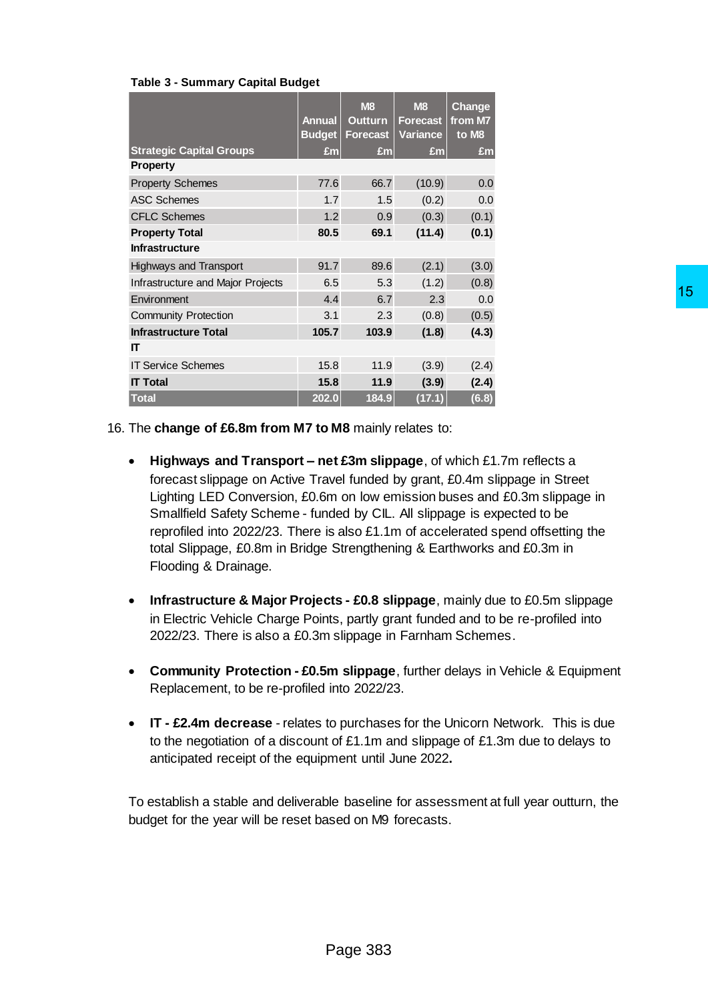| <b>Table 3 - Summary Capital Budget</b> |  |  |
|-----------------------------------------|--|--|
|-----------------------------------------|--|--|

|                                   | <b>Annual</b><br><b>Budget</b> | <b>M8</b><br><b>Outturn</b><br><b>Forecast</b> | <b>M8</b><br><b>Forecast</b><br><b>Variance</b> | <b>Change</b><br>from M7<br>to M8 |
|-----------------------------------|--------------------------------|------------------------------------------------|-------------------------------------------------|-----------------------------------|
| <b>Strategic Capital Groups</b>   | £m                             | £m                                             | £m                                              | £m                                |
| <b>Property</b>                   |                                |                                                |                                                 |                                   |
| <b>Property Schemes</b>           | 77.6                           | 66.7                                           | (10.9)                                          | 0.0                               |
| <b>ASC Schemes</b>                | 1.7                            | 1.5                                            | (0.2)                                           | 0.0                               |
| <b>CFLC Schemes</b>               | 1.2                            | 0.9                                            | (0.3)                                           | (0.1)                             |
| <b>Property Total</b>             | 80.5                           | 69.1                                           | (11.4)                                          | (0.1)                             |
| <b>Infrastructure</b>             |                                |                                                |                                                 |                                   |
| <b>Highways and Transport</b>     | 91.7                           | 89.6                                           | (2.1)                                           | (3.0)                             |
| Infrastructure and Major Projects | 6.5                            | 5.3                                            | (1.2)                                           | (0.8)                             |
| Environment                       | 4.4                            | 6.7                                            | 2.3                                             | 0.0                               |
| <b>Community Protection</b>       | 3.1                            | 2.3                                            | (0.8)                                           | (0.5)                             |
| <b>Infrastructure Total</b>       | 105.7                          | 103.9                                          | (1.8)                                           | (4.3)                             |
| IT                                |                                |                                                |                                                 |                                   |
| <b>IT Service Schemes</b>         | 15.8                           | 11.9                                           | (3.9)                                           | (2.4)                             |
| <b>IT Total</b>                   | 15.8                           | 11.9                                           | (3.9)                                           | (2.4)                             |
| <b>Total</b>                      | 202.0                          | 184.9                                          | (17.1)                                          | (6.8)                             |

16. The **change of £6.8m from M7 to M8** mainly relates to:

- **Highways and Transport – net £3m slippage**, of which £1.7m reflects a forecast slippage on Active Travel funded by grant, £0.4m slippage in Street Lighting LED Conversion, £0.6m on low emission buses and £0.3m slippage in Smallfield Safety Scheme - funded by CIL. All slippage is expected to be reprofiled into 2022/23. There is also £1.1m of accelerated spend offsetting the total Slippage, £0.8m in Bridge Strengthening & Earthworks and £0.3m in Flooding & Drainage. 15<br>  $\frac{23}{15}$ <br>  $\frac{23}{15}$ <br>  $\frac{23}{15}$ <br>  $\frac{23}{15}$ <br>  $\frac{23}{15}$ <br>  $\frac{23}{15}$ <br>  $\frac{23}{15}$ <br>  $\frac{23}{15}$ <br>  $\frac{23}{15}$ <br>  $\frac{23}{15}$ <br>  $\frac{23}{15}$ <br>  $\frac{23}{15}$ <br>  $\frac{23}{15}$ <br>  $\frac{23}{15}$ <br>  $\frac{24}{15}$ <br>  $\frac{24}{15}$ <br>  $\frac{24}{15$
- **Infrastructure & Major Projects - £0.8 slippage**, mainly due to £0.5m slippage in Electric Vehicle Charge Points, partly grant funded and to be re-profiled into 2022/23. There is also a £0.3m slippage in Farnham Schemes.
- **Community Protection - £0.5m slippage**, further delays in Vehicle & Equipment Replacement, to be re-profiled into 2022/23.
- **IT - £2.4m decrease** relates to purchases for the Unicorn Network. This is due to the negotiation of a discount of £1.1m and slippage of £1.3m due to delays to anticipated receipt of the equipment until June 2022**.**

To establish a stable and deliverable baseline for assessment at full year outturn, the budget for the year will be reset based on M9 forecasts.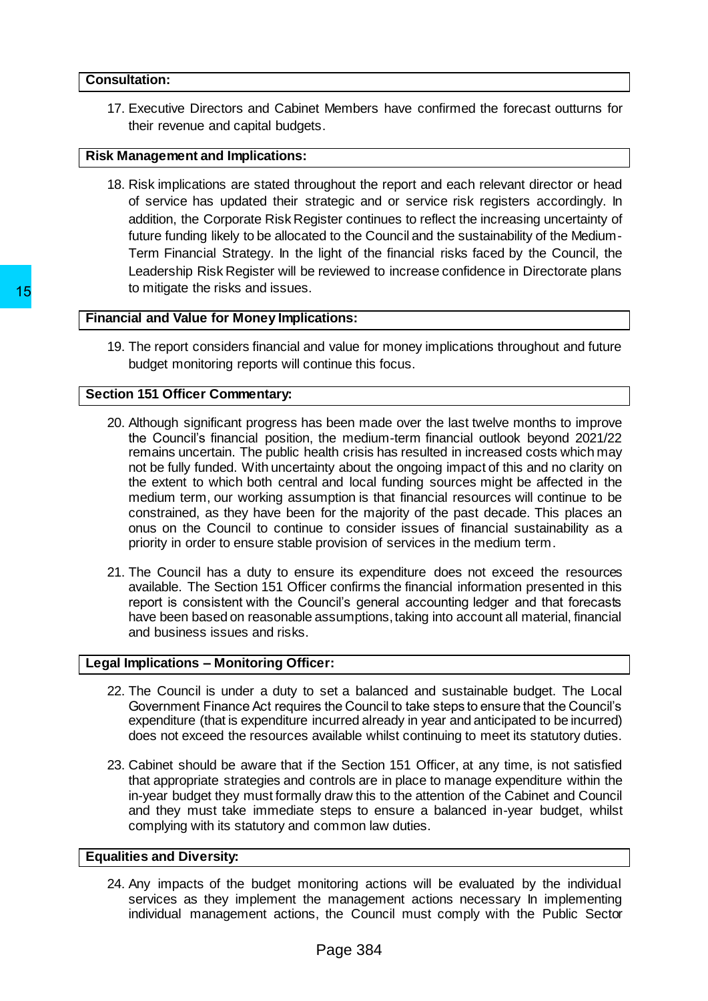#### **Consultation:**

17. Executive Directors and Cabinet Members have confirmed the forecast outturns for their revenue and capital budgets.

#### **Risk Management and Implications:**

18. Risk implications are stated throughout the report and each relevant director or head of service has updated their strategic and or service risk registers accordingly. In addition, the Corporate Risk Register continues to reflect the increasing uncertainty of future funding likely to be allocated to the Council and the sustainability of the Medium-Term Financial Strategy. In the light of the financial risks faced by the Council, the Leadership Risk Register will be reviewed to increase confidence in Directorate plans to mitigate the risks and issues.

#### **Financial and Value for Money Implications:**

19. The report considers financial and value for money implications throughout and future budget monitoring reports will continue this focus.

#### **Section 151 Officer Commentary:**

- 20. Although significant progress has been made over the last twelve months to improve the Council's financial position, the medium-term financial outlook beyond 2021/22 remains uncertain. The public health crisis has resulted in increased costs which may not be fully funded. With uncertainty about the ongoing impact of this and no clarity on the extent to which both central and local funding sources might be affected in the medium term, our working assumption is that financial resources will continue to be constrained, as they have been for the majority of the past decade. This places an onus on the Council to continue to consider issues of financial sustainability as a priority in order to ensure stable provision of services in the medium term. To mingate the risks and issues.<br>
Triancial and Value for Money Implications:<br>
19. The report considers financial and value for<br>
budget monitoring reports will continue this<br>
Section 151 Officer Commentary:<br>
20. Although s
	- 21. The Council has a duty to ensure its expenditure does not exceed the resources available. The Section 151 Officer confirms the financial information presented in this report is consistent with the Council's general accounting ledger and that forecasts have been based on reasonable assumptions, taking into account all material, financial and business issues and risks.

#### **Legal Implications – Monitoring Officer:**

- 22. The Council is under a duty to set a balanced and sustainable budget. The Local Government Finance Act requires the Council to take steps to ensure that the Council's expenditure (that is expenditure incurred already in year and anticipated to be incurred) does not exceed the resources available whilst continuing to meet its statutory duties.
- 23. Cabinet should be aware that if the Section 151 Officer, at any time, is not satisfied that appropriate strategies and controls are in place to manage expenditure within the in-year budget they must formally draw this to the attention of the Cabinet and Council and they must take immediate steps to ensure a balanced in-year budget, whilst complying with its statutory and common law duties.

#### **Equalities and Diversity:**

24. Any impacts of the budget monitoring actions will be evaluated by the individual services as they implement the management actions necessary In implementing individual management actions, the Council must comply with the Public Sector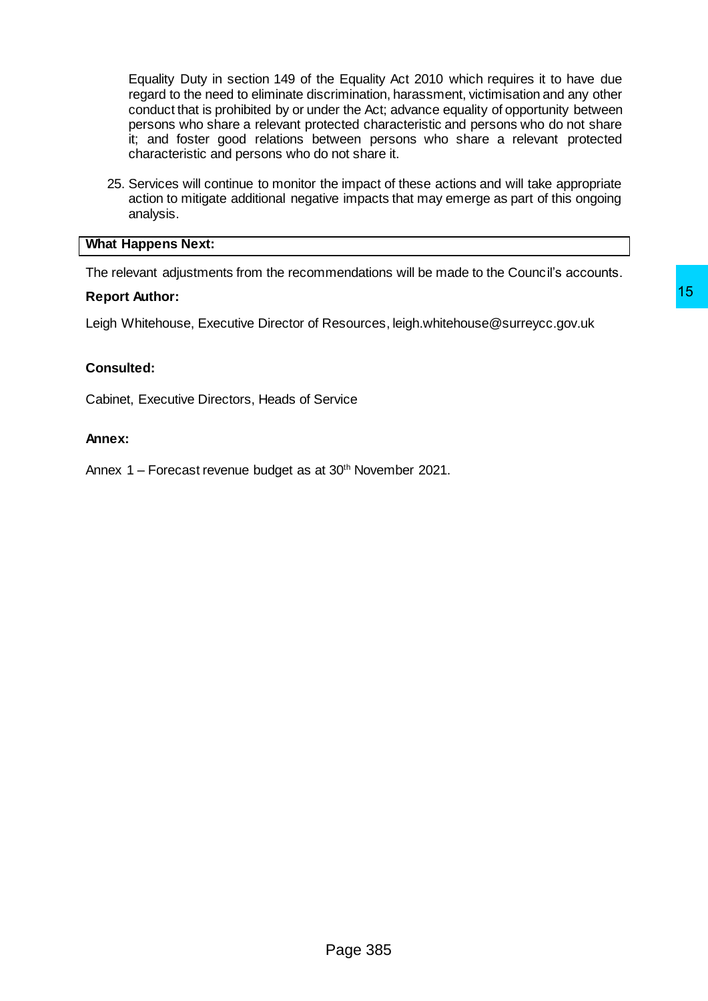Equality Duty in section 149 of the Equality Act 2010 which requires it to have due regard to the need to eliminate discrimination, harassment, victimisation and any other conduct that is prohibited by or under the Act; advance equality of opportunity between persons who share a relevant protected characteristic and persons who do not share it; and foster good relations between persons who share a relevant protected characteristic and persons who do not share it.

25. Services will continue to monitor the impact of these actions and will take appropriate action to mitigate additional negative impacts that may emerge as part of this ongoing analysis.

#### **What Happens Next:**

The relevant adjustments from the recommendations will be made to the Council's accounts.

#### **Report Author:**

Leigh Whitehouse, Executive Director of Resources, leigh.whitehouse@surreycc.gov.uk Resources, leigh.whitehouse@surreycc.gov.uk<br>Brvice<br>30<sup>th</sup> November 2021.<br>Page 385

## **Consulted:**

Cabinet, Executive Directors, Heads of Service

## **Annex:**

Annex 1 – Forecast revenue budget as at 30<sup>th</sup> November 2021.